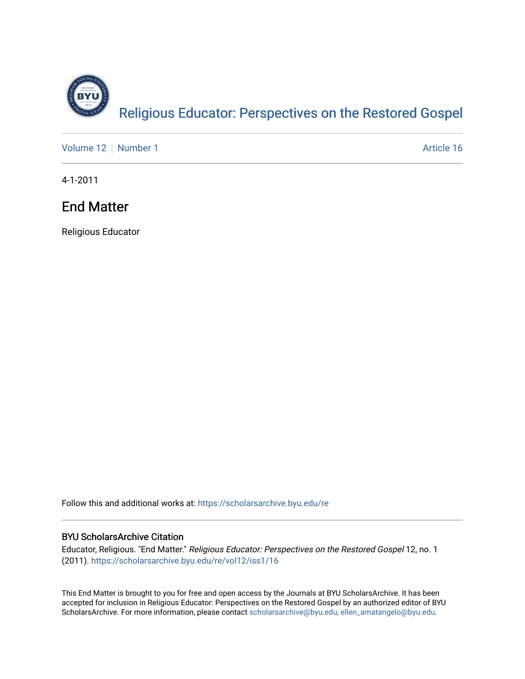

[Volume 12](https://scholarsarchive.byu.edu/re/vol12) [Number 1](https://scholarsarchive.byu.edu/re/vol12/iss1) Article 16

4-1-2011

# End Matter

Religious Educator

Follow this and additional works at: [https://scholarsarchive.byu.edu/re](https://scholarsarchive.byu.edu/re?utm_source=scholarsarchive.byu.edu%2Fre%2Fvol12%2Fiss1%2F16&utm_medium=PDF&utm_campaign=PDFCoverPages)

## BYU ScholarsArchive Citation

Educator, Religious. "End Matter." Religious Educator: Perspectives on the Restored Gospel 12, no. 1 (2011). [https://scholarsarchive.byu.edu/re/vol12/iss1/16](https://scholarsarchive.byu.edu/re/vol12/iss1/16?utm_source=scholarsarchive.byu.edu%2Fre%2Fvol12%2Fiss1%2F16&utm_medium=PDF&utm_campaign=PDFCoverPages)

This End Matter is brought to you for free and open access by the Journals at BYU ScholarsArchive. It has been accepted for inclusion in Religious Educator: Perspectives on the Restored Gospel by an authorized editor of BYU ScholarsArchive. For more information, please contact [scholarsarchive@byu.edu, ellen\\_amatangelo@byu.edu.](mailto:scholarsarchive@byu.edu,%20ellen_amatangelo@byu.edu)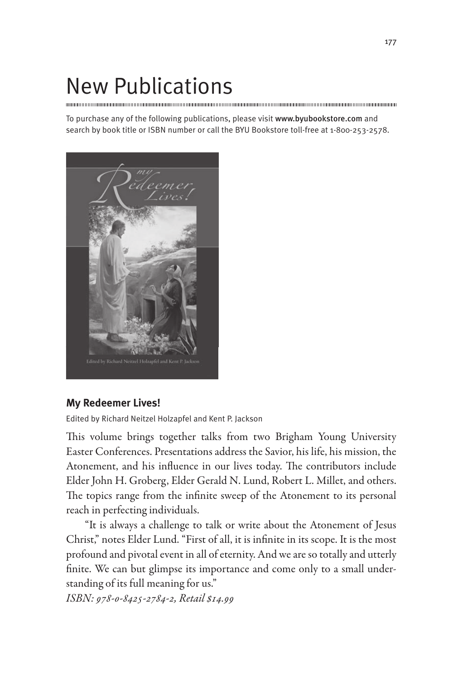# New Publications

To purchase any of the following publications, please visit www.byubookstore.com and search by book title or ISBN number or call the BYU Bookstore toll-free at 1-800-253-2578.



# **My Redeemer Lives!**

Edited by Richard Neitzel Holzapfel and Kent P. Jackson

This volume brings together talks from two Brigham Young University Easter Conferences. Presentations address the Savior, his life, his mission, the Atonement, and his influence in our lives today. The contributors include Elder John H. Groberg, Elder Gerald N. Lund, Robert L. Millet, and others. The topics range from the infinite sweep of the Atonement to its personal reach in perfecting individuals.

"It is always a challenge to talk or write about the Atonement of Jesus Christ," notes Elder Lund. "First of all, it is infinite in its scope. It is the most profound and pivotal event in all of eternity. And we are so totally and utterly finite. We can but glimpse its importance and come only to a small understanding of its full meaning for us."

*ISBN: 978-0-8425-2784-2, Retail \$14.99*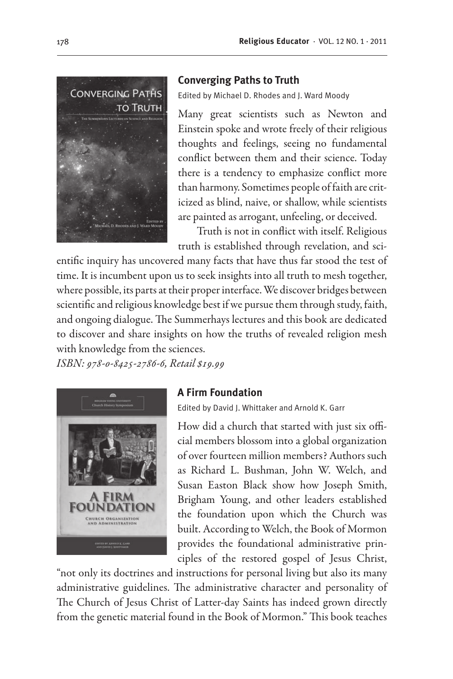

#### **Converging Paths to Truth**

Edited by Michael D. Rhodes and J. Ward Moody

Many great scientists such as Newton and Einstein spoke and wrote freely of their religious thoughts and feelings, seeing no fundamental conflict between them and their science. Today there is a tendency to emphasize conflict more than harmony. Sometimes people of faith are criticized as blind, naive, or shallow, while scientists are painted as arrogant, unfeeling, or deceived.

Truth is not in conflict with itself. Religious truth is established through revelation, and sci-

entific inquiry has uncovered many facts that have thus far stood the test of time. It is incumbent upon us to seek insights into all truth to mesh together, where possible, its parts at their proper interface. We discover bridges between scientific and religious knowledge best if we pursue them through study, faith, and ongoing dialogue. The Summerhays lectures and this book are dedicated to discover and share insights on how the truths of revealed religion mesh with knowledge from the sciences.

*ISBN: 978-0-8425-2786-6, Retail \$19.99*



### **A Firm Foundation**

Edited by David J. Whittaker and Arnold K. Garr

How did a church that started with just six official members blossom into a global organization of over fourteen million members? Authors such as Richard L. Bushman, John W. Welch, and Susan Easton Black show how Joseph Smith, Brigham Young, and other leaders established the foundation upon which the Church was built. According to Welch, the Book of Mormon provides the foundational administrative principles of the restored gospel of Jesus Christ,

"not only its doctrines and instructions for personal living but also its many administrative guidelines. The administrative character and personality of The Church of Jesus Christ of Latter-day Saints has indeed grown directly from the genetic material found in the Book of Mormon." This book teaches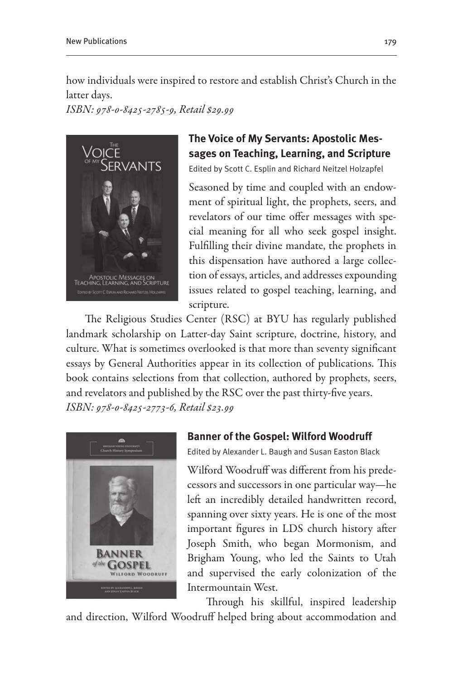how individuals were inspired to restore and establish Christ's Church in the latter days.

*ISBN: 978-0-8425-2785-9, Retail \$29.99*



# **The Voice of My Servants: Apostolic Messages on Teaching, Learning, and Scripture**

Edited by Scott C. Esplin and Richard Neitzel Holzapfel

Seasoned by time and coupled with an endowment of spiritual light, the prophets, seers, and revelators of our time offer messages with special meaning for all who seek gospel insight. Fulfilling their divine mandate, the prophets in this dispensation have authored a large collection of essays, articles, and addresses expounding issues related to gospel teaching, learning, and scripture.

The Religious Studies Center (RSC) at BYU has regularly published landmark scholarship on Latter-day Saint scripture, doctrine, history, and culture. What is sometimes overlooked is that more than seventy significant essays by General Authorities appear in its collection of publications. This book contains selections from that collection, authored by prophets, seers, and revelators and published by the RSC over the past thirty-five years. *ISBN: 978-0-8425-2773-6, Retail \$23.99*



### **Banner of the Gospel: Wilford Woodruff**

Edited by Alexander L. Baugh and Susan Easton Black

Wilford Woodruff was different from his predecessors and successors in one particular way—he left an incredibly detailed handwritten record, spanning over sixty years. He is one of the most important figures in LDS church history after Joseph Smith, who began Mormonism, and Brigham Young, who led the Saints to Utah and supervised the early colonization of the Intermountain West.

Through his skillful, inspired leadership

and direction, Wilford Woodruff helped bring about accommodation and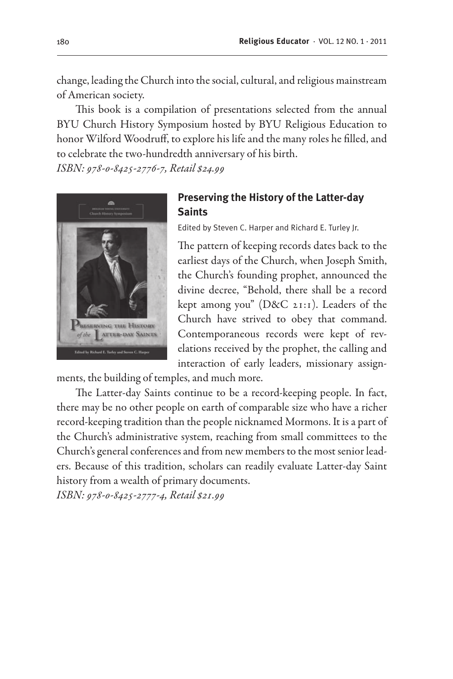change, leading the Church into the social, cultural, and religious mainstream of American society.

This book is a compilation of presentations selected from the annual BYU Church History Symposium hosted by BYU Religious Education to honor Wilford Woodruff, to explore his life and the many roles he filled, and to celebrate the two-hundredth anniversary of his birth.

*ISBN: 978-0-8425-2776-7, Retail \$24.99*



## **Preserving the History of the Latter-day Saints**

Edited by Steven C. Harper and Richard E. Turley Jr.

The pattern of keeping records dates back to the earliest days of the Church, when Joseph Smith, the Church's founding prophet, announced the divine decree, "Behold, there shall be a record kept among you" (D&C 21:1). Leaders of the Church have strived to obey that command. Contemporaneous records were kept of revelations received by the prophet, the calling and interaction of early leaders, missionary assign-

ments, the building of temples, and much more.

The Latter-day Saints continue to be a record-keeping people. In fact, there may be no other people on earth of comparable size who have a richer record-keeping tradition than the people nicknamed Mormons. It is a part of the Church's administrative system, reaching from small committees to the Church's general conferences and from new members to the most senior leaders. Because of this tradition, scholars can readily evaluate Latter-day Saint history from a wealth of primary documents.

*ISBN: 978-0-8425-2777-4, Retail \$21.99*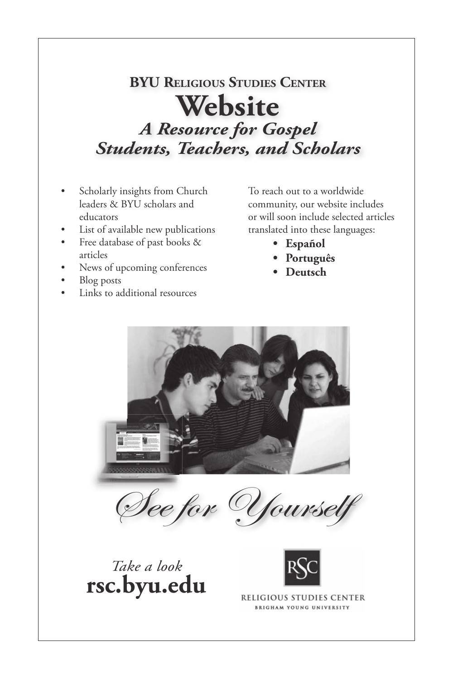#### **BYU RELIGIOUS STUDIES CENTER Website Website** *A Resource for Gospel A Resource for Gospel Students, Teachers, and Scholars Students, Teachers, and Scholars* **BYU RELIGIOUS STUDIES CENTE** Website<br> *A Resource for Gospel Students, Teachers, and Scholars* **BYU RELIGIOUS ST CENTER Websi**<br>**Resource for** *A Resource for Gospel Students, Teachers, and Scholars*

- Scholarly insights from Church exionary insights from Church<br>leaders & BYU scholars and readers & BTU senotars and<br>educators
	- List of available new publications
- Free database of past books & articles **Free** • Free database of past books  $\overline{\phantom{a}}$ 
	- News of upcoming conferences • News of upcoming conferences articles
- $\bullet$  Blog posts

• Links to additional resources

• Links to additional resources • Links to additional resources

To reach out to a worldwide To reach out to a worldwide<br>community, our website includes community, our website mendes<br>or will soon include selected articles or will soon include selected articles translated into these language

- Español
	- **• Português • Português • Español • Español**
	- **• Deutsch • Deutsch • Português** • **Deutst • Português**



See for Yourself See for Yourself

See for Yourself See for Yourself





**RELIGIOUS STUDIES CENTER BRIGHAM YOUNG UNIVERSITY**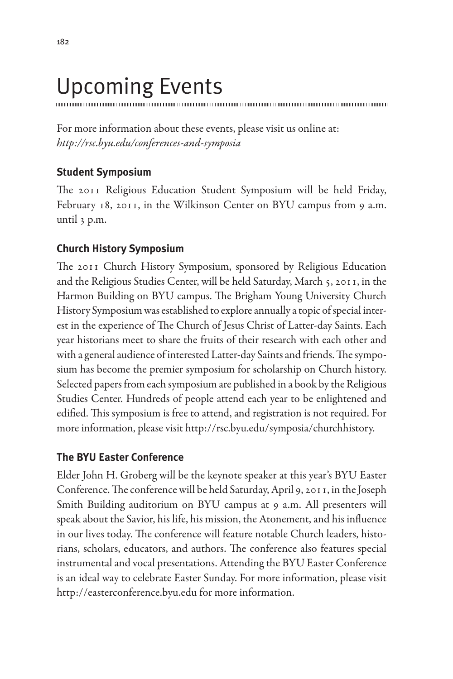# Upcoming Events

For more information about these events, please visit us online at: *http://rsc.byu.edu/conferences-and-symposia*

# **Student Symposium**

The 2011 Religious Education Student Symposium will be held Friday, February 18, 2011, in the Wilkinson Center on BYU campus from 9 a.m. until 3 p.m.

# **Church History Symposium**

The 2011 Church History Symposium, sponsored by Religious Education and the Religious Studies Center, will be held Saturday, March 5, 2011, in the Harmon Building on BYU campus. The Brigham Young University Church History Symposium was established to explore annually a topic of special interest in the experience of The Church of Jesus Christ of Latter-day Saints. Each year historians meet to share the fruits of their research with each other and with a general audience of interested Latter-day Saints and friends. The symposium has become the premier symposium for scholarship on Church history. Selected papers from each symposium are published in a book by the Religious Studies Center. Hundreds of people attend each year to be enlightened and edified. This symposium is free to attend, and registration is not required. For more information, please visit http://rsc.byu.edu/symposia/churchhistory.

# **The BYU Easter Conference**

Elder John H. Groberg will be the keynote speaker at this year's BYU Easter Conference. The conference will be held Saturday, April 9, 2011, in the Joseph Smith Building auditorium on BYU campus at 9 a.m. All presenters will speak about the Savior, his life, his mission, the Atonement, and his influence in our lives today. The conference will feature notable Church leaders, historians, scholars, educators, and authors. The conference also features special instrumental and vocal presentations. Attending the BYU Easter Conference is an ideal way to celebrate Easter Sunday. For more information, please visit http://easterconference.byu.edu for more information.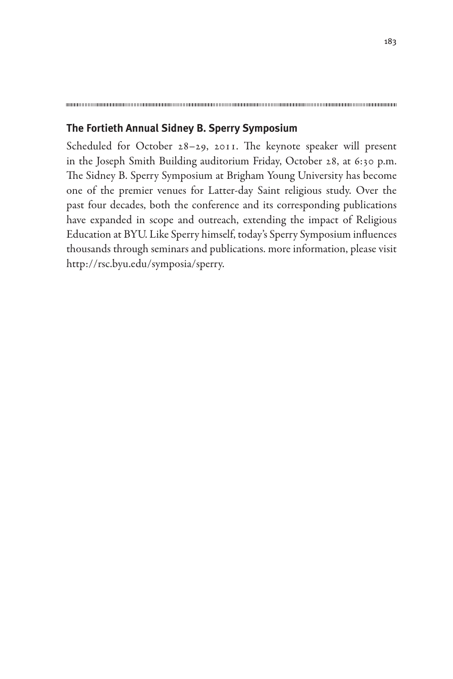### **The Fortieth Annual Sidney B. Sperry Symposium**

Scheduled for October 28–29, 2011. The keynote speaker will present in the Joseph Smith Building auditorium Friday, October 28, at 6:30 p.m. The Sidney B. Sperry Symposium at Brigham Young University has become one of the premier venues for Latter-day Saint religious study. Over the past four decades, both the conference and its corresponding publications have expanded in scope and outreach, extending the impact of Religious Education at BYU. Like Sperry himself, today's Sperry Symposium influences thousands through seminars and publications. more information, please visit http://rsc.byu.edu/symposia/sperry.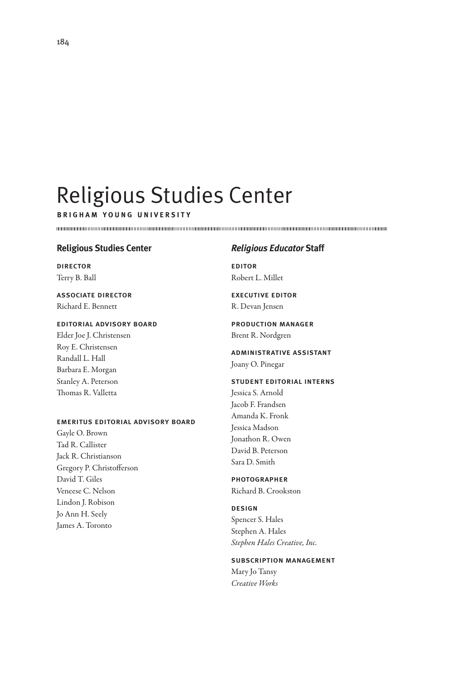# Religious Studies Center

**brigham young university**

#### **Religious Studies Center**

director Terry B. Ball

#### associate director Richard E. Bennett

#### editorial advisory board

Elder Joe J. Christensen Roy E. Christensen Randall L. Hall Barbara E. Morgan Stanley A. Peterson Thomas R. Valletta

#### emeritus editorial advisory board

Gayle O. Brown Tad R. Callister Jack R. Christianson Gregory P. Christofferson David T. Giles Veneese C. Nelson Lindon J. Robison Jo Ann H. Seely James A. Toronto

#### *Religious Educator* **Staff**

editor Robert L. Millet

executive editor R. Devan Jensen

production manager Brent R. Nordgren

administrative assistant Joany O. Pinegar

student editorial interns Jessica S. Arnold Jacob F. Frandsen Amanda K. Fronk Jessica Madson Jonathon R. Owen David B. Peterson Sara D. Smith

#### **PHOTOGRAPHER**

Richard B. Crookston

design

Spencer S. Hales Stephen A. Hales *Stephen Hales Creative, Inc.*

#### subscription management

Mary Jo Tansy *Creative Works*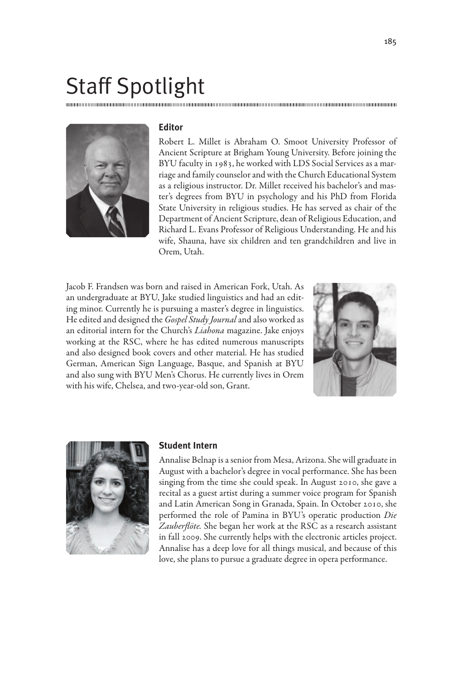# Staff Spotlight



#### **Editor**

Robert L. Millet is Abraham O. Smoot University Professor of Ancient Scripture at Brigham Young University. Before joining the BYU faculty in 1983, he worked with LDS Social Services as a marriage and family counselor and with the Church Educational System as a religious instructor. Dr. Millet received his bachelor's and master's degrees from BYU in psychology and his PhD from Florida State University in religious studies. He has served as chair of the Department of Ancient Scripture, dean of Religious Education, and Richard L. Evans Professor of Religious Understanding. He and his wife, Shauna, have six children and ten grandchildren and live in Orem, Utah.

Jacob F. Frandsen was born and raised in American Fork, Utah. As an undergraduate at BYU, Jake studied linguistics and had an editing minor. Currently he is pursuing a master's degree in linguistics. He edited and designed the *Gospel Study Journal* and also worked as an editorial intern for the Church's *Liahona* magazine. Jake enjoys working at the RSC, where he has edited numerous manuscripts and also designed book covers and other material. He has studied German, American Sign Language, Basque, and Spanish at BYU and also sung with BYU Men's Chorus. He currently lives in Orem with his wife, Chelsea, and two-year-old son, Grant.





#### **Student Intern**

Annalise Belnap is a senior from Mesa, Arizona. She will graduate in August with a bachelor's degree in vocal performance. She has been singing from the time she could speak. In August 2010, she gave a recital as a guest artist during a summer voice program for Spanish and Latin American Song in Granada, Spain. In October 2010, she performed the role of Pamina in BYU's operatic production *Die Zauberflöte.* She began her work at the RSC as a research assistant in fall 2009. She currently helps with the electronic articles project. Annalise has a deep love for all things musical, and because of this love, she plans to pursue a graduate degree in opera performance.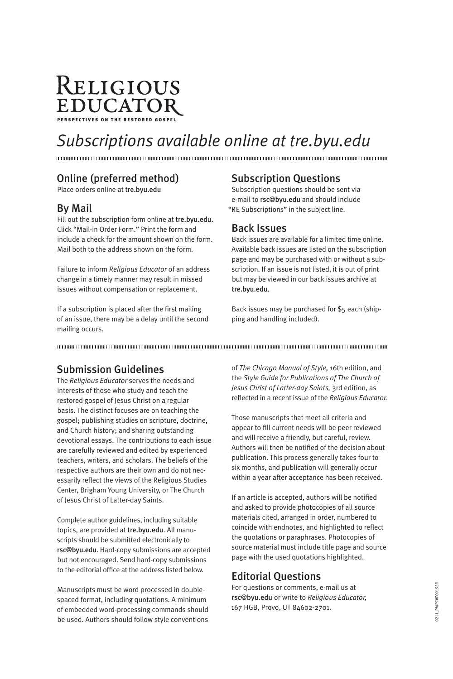# RELIGIOUS EDUCATOR perspectives on the restored gospel

# *Subscriptions available online at tre.byu.edu*

# Online (preferred method)

Place orders online at tre.byu.edu

## By Mail

Fill out the subscription form online at tre.byu.edu. Click "Mail-in Order Form." Print the form and include a check for the amount shown on the form. Mail both to the address shown on the form.

Failure to inform *Religious Educator* of an address change in a timely manner may result in missed issues without compensation or replacement.

If a subscription is placed after the first mailing of an issue, there may be a delay until the second mailing occurs.

### Subscription Questions

Subscription questions should be sent via e-mail to rsc@byu.edu and should include "RE Subscriptions" in the subject line.

#### Back Issues

Back issues are available for a limited time online. Available back issues are listed on the subscription page and may be purchased with or without a subscription. If an issue is not listed, it is out of print but may be viewed in our back issues archive at tre.byu.edu.

Back issues may be purchased for \$5 each (shipping and handling included).

# Submission Guidelines

The *Religious Educator* serves the needs and interests of those who study and teach the restored gospel of Jesus Christ on a regular basis. The distinct focuses are on teaching the gospel; publishing studies on scripture, doctrine, and Church history; and sharing outstanding devotional essays. The contributions to each issue are carefully reviewed and edited by experienced teachers, writers, and scholars. The beliefs of the respective authors are their own and do not necessarily reflect the views of the Religious Studies Center, Brigham Young University, or The Church of Jesus Christ of Latter-day Saints.

Complete author guidelines, including suitable topics, are provided at tre.byu.edu. All manuscripts should be submitted electronically to rsc@byu.edu. Hard-copy submissions are accepted but not encouraged. Send hard-copy submissions to the editorial office at the address listed below.

Manuscripts must be word processed in doublespaced format, including quotations. A minimum of embedded word-processing commands should be used. Authors should follow style conventions of *The Chicago Manual of Style,* 16th edition, and the *Style Guide for Publications of The Church of Jesus Christ of Latter-day Saints,* 3rd edition, as reflected in a recent issue of the *Religious Educator.*

Those manuscripts that meet all criteria and appear to fill current needs will be peer reviewed and will receive a friendly, but careful, review. Authors will then be notified of the decision about publication. This process generally takes four to six months, and publication will generally occur within a year after acceptance has been received.

If an article is accepted, authors will be notified and asked to provide photocopies of all source materials cited, arranged in order, numbered to coincide with endnotes, and highlighted to reflect the quotations or paraphrases. Photocopies of source material must include title page and source page with the used quotations highlighted.

# Editorial Questions

For questions or comments, e-mail us at rsc@byu.edu or write to *Religious Educator,* 167 HGB, Provo, UT 84602-2701.